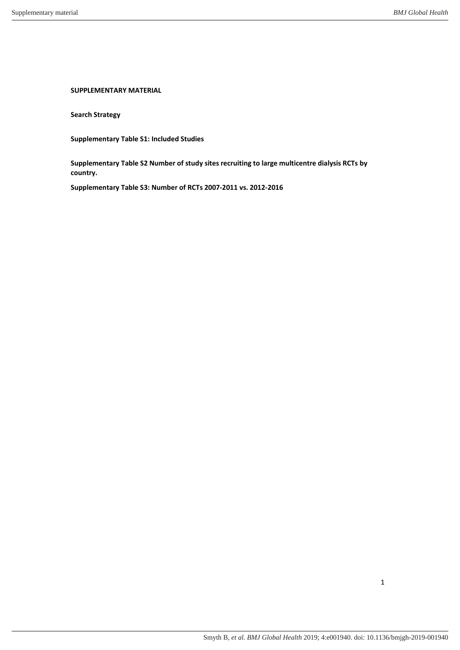**SUPPLEMENTARY MATERIAL** 

**Search Strategy** 

**Supplementary Table S1: Included Studies** 

**Supplementary Table S2 Number of study sites recruiting to large multicentre dialysis RCTs by country.** 

**Supplementary Table S3: Number of RCTs 2007-2011 vs. 2012-2016**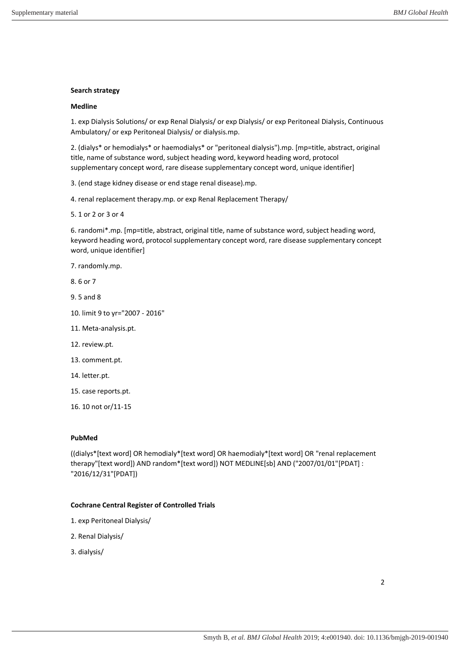### **Search strategy**

### **Medline**

1. exp Dialysis Solutions/ or exp Renal Dialysis/ or exp Dialysis/ or exp Peritoneal Dialysis, Continuous Ambulatory/ or exp Peritoneal Dialysis/ or dialysis.mp.

2. (dialys\* or hemodialys\* or haemodialys\* or "peritoneal dialysis").mp. [mp=title, abstract, original title, name of substance word, subject heading word, keyword heading word, protocol supplementary concept word, rare disease supplementary concept word, unique identifier]

3. (end stage kidney disease or end stage renal disease).mp.

4. renal replacement therapy.mp. or exp Renal Replacement Therapy/

5. 1 or 2 or 3 or 4

6. randomi\*.mp. [mp=title, abstract, original title, name of substance word, subject heading word, keyword heading word, protocol supplementary concept word, rare disease supplementary concept word, unique identifier]

7. randomly.mp.

8. 6 or 7

- 9. 5 and 8
- 10. limit 9 to yr="2007 2016"
- 11. Meta-analysis.pt.
- 12. review.pt.
- 13. comment.pt.
- 14. letter.pt.
- 15. case reports.pt.
- 16. 10 not or/11-15

## **PubMed**

((dialys\*[text word] OR hemodialy\*[text word] OR haemodialy\*[text word] OR "renal replacement therapy"[text word]) AND random\*[text word]) NOT MEDLINE[sb] AND ("2007/01/01"[PDAT] : "2016/12/31"[PDAT])

#### **Cochrane Central Register of Controlled Trials**

- 1. exp Peritoneal Dialysis/
- 2. Renal Dialysis/
- 3. dialysis/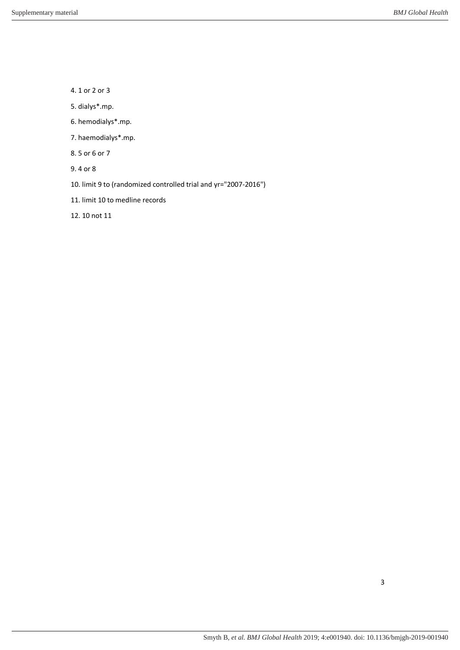4. 1 or 2 or 3

- 5. dialys\*.mp.
- 6. hemodialys\*.mp.
- 7. haemodialys\*.mp.
- 8. 5 or 6 or 7
- 9. 4 or 8
- 10. limit 9 to (randomized controlled trial and yr="2007-2016")
- 11. limit 10 to medline records

12. 10 not 11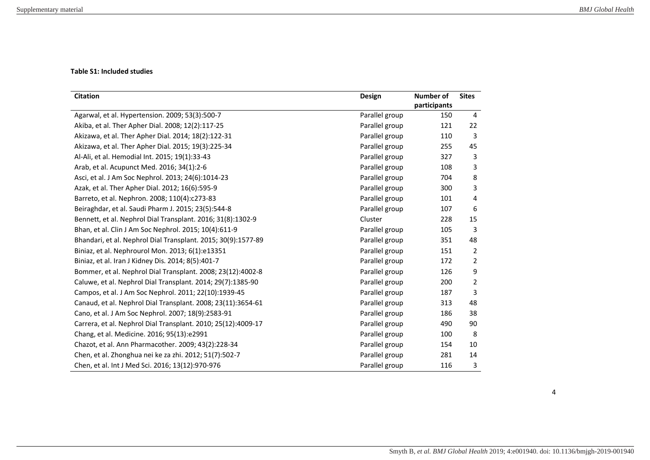# **Table S1: Included studies**

| <b>Citation</b>                                               | <b>Design</b>  | Number of<br>participants | <b>Sites</b>   |
|---------------------------------------------------------------|----------------|---------------------------|----------------|
| Agarwal, et al. Hypertension. 2009; 53(3):500-7               | Parallel group | 150                       | $\overline{4}$ |
| Akiba, et al. Ther Apher Dial. 2008; 12(2):117-25             | Parallel group | 121                       | 22             |
| Akizawa, et al. Ther Apher Dial. 2014; 18(2):122-31           | Parallel group | 110                       | 3              |
| Akizawa, et al. Ther Apher Dial. 2015; 19(3):225-34           | Parallel group | 255                       | 45             |
| Al-Ali, et al. Hemodial Int. 2015; 19(1):33-43                | Parallel group | 327                       | 3              |
| Arab, et al. Acupunct Med. 2016; 34(1):2-6                    | Parallel group | 108                       | 3              |
| Asci, et al. J Am Soc Nephrol. 2013; 24(6):1014-23            | Parallel group | 704                       | 8              |
| Azak, et al. Ther Apher Dial. 2012; 16(6):595-9               | Parallel group | 300                       | 3              |
| Barreto, et al. Nephron. 2008; 110(4):c273-83                 | Parallel group | 101                       | 4              |
| Beiraghdar, et al. Saudi Pharm J. 2015; 23(5):544-8           | Parallel group | 107                       | 6              |
| Bennett, et al. Nephrol Dial Transplant. 2016; 31(8):1302-9   | Cluster        | 228                       | 15             |
| Bhan, et al. Clin J Am Soc Nephrol. 2015; 10(4):611-9         | Parallel group | 105                       | 3              |
| Bhandari, et al. Nephrol Dial Transplant. 2015; 30(9):1577-89 | Parallel group | 351                       | 48             |
| Biniaz, et al. Nephrourol Mon. 2013; 6(1):e13351              | Parallel group | 151                       | $\overline{2}$ |
| Biniaz, et al. Iran J Kidney Dis. 2014; 8(5):401-7            | Parallel group | 172                       | 2              |
| Bommer, et al. Nephrol Dial Transplant. 2008; 23(12):4002-8   | Parallel group | 126                       | 9              |
| Caluwe, et al. Nephrol Dial Transplant. 2014; 29(7):1385-90   | Parallel group | 200                       | $\overline{2}$ |
| Campos, et al. J Am Soc Nephrol. 2011; 22(10):1939-45         | Parallel group | 187                       | 3              |
| Canaud, et al. Nephrol Dial Transplant. 2008; 23(11):3654-61  | Parallel group | 313                       | 48             |
| Cano, et al. J Am Soc Nephrol. 2007; 18(9):2583-91            | Parallel group | 186                       | 38             |
| Carrera, et al. Nephrol Dial Transplant. 2010; 25(12):4009-17 | Parallel group | 490                       | 90             |
| Chang, et al. Medicine. 2016; 95(13):e2991                    | Parallel group | 100                       | 8              |
| Chazot, et al. Ann Pharmacother. 2009; 43(2):228-34           | Parallel group | 154                       | 10             |
| Chen, et al. Zhonghua nei ke za zhi. 2012; 51(7):502-7        | Parallel group | 281                       | 14             |
| Chen, et al. Int J Med Sci. 2016; 13(12):970-976              | Parallel group | 116                       | 3              |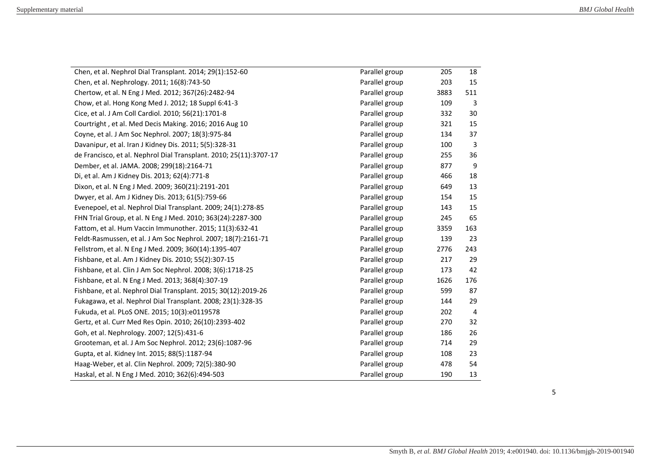| Chen, et al. Nephrol Dial Transplant. 2014; 29(1):152-60           | Parallel group | 205  | 18  |
|--------------------------------------------------------------------|----------------|------|-----|
| Chen, et al. Nephrology. 2011; 16(8):743-50                        | Parallel group | 203  | 15  |
| Chertow, et al. N Eng J Med. 2012; 367(26):2482-94                 | Parallel group | 3883 | 511 |
| Chow, et al. Hong Kong Med J. 2012; 18 Suppl 6:41-3                | Parallel group | 109  | 3   |
| Cice, et al. J Am Coll Cardiol. 2010; 56(21):1701-8                | Parallel group | 332  | 30  |
| Courtright, et al. Med Decis Making. 2016; 2016 Aug 10             | Parallel group | 321  | 15  |
| Coyne, et al. J Am Soc Nephrol. 2007; 18(3):975-84                 | Parallel group | 134  | 37  |
| Davanipur, et al. Iran J Kidney Dis. 2011; 5(5):328-31             | Parallel group | 100  | 3   |
| de Francisco, et al. Nephrol Dial Transplant. 2010; 25(11):3707-17 | Parallel group | 255  | 36  |
| Dember, et al. JAMA. 2008; 299(18):2164-71                         | Parallel group | 877  | 9   |
| Di, et al. Am J Kidney Dis. 2013; 62(4):771-8                      | Parallel group | 466  | 18  |
| Dixon, et al. N Eng J Med. 2009; 360(21):2191-201                  | Parallel group | 649  | 13  |
| Dwyer, et al. Am J Kidney Dis. 2013; 61(5):759-66                  | Parallel group | 154  | 15  |
| Evenepoel, et al. Nephrol Dial Transplant. 2009; 24(1):278-85      | Parallel group | 143  | 15  |
| FHN Trial Group, et al. N Eng J Med. 2010; 363(24):2287-300        | Parallel group | 245  | 65  |
| Fattom, et al. Hum Vaccin Immunother. 2015; 11(3):632-41           | Parallel group | 3359 | 163 |
| Feldt-Rasmussen, et al. J Am Soc Nephrol. 2007; 18(7):2161-71      | Parallel group | 139  | 23  |
| Fellstrom, et al. N Eng J Med. 2009; 360(14):1395-407              | Parallel group | 2776 | 243 |
| Fishbane, et al. Am J Kidney Dis. 2010; 55(2):307-15               | Parallel group | 217  | 29  |
| Fishbane, et al. Clin J Am Soc Nephrol. 2008; 3(6):1718-25         | Parallel group | 173  | 42  |
| Fishbane, et al. N Eng J Med. 2013; 368(4):307-19                  | Parallel group | 1626 | 176 |
| Fishbane, et al. Nephrol Dial Transplant. 2015; 30(12):2019-26     | Parallel group | 599  | 87  |
| Fukagawa, et al. Nephrol Dial Transplant. 2008; 23(1):328-35       | Parallel group | 144  | 29  |
| Fukuda, et al. PLoS ONE. 2015; 10(3):e0119578                      | Parallel group | 202  | 4   |
| Gertz, et al. Curr Med Res Opin. 2010; 26(10):2393-402             | Parallel group | 270  | 32  |
| Goh, et al. Nephrology. 2007; 12(5):431-6                          | Parallel group | 186  | 26  |
| Grooteman, et al. J Am Soc Nephrol. 2012; 23(6):1087-96            | Parallel group | 714  | 29  |
| Gupta, et al. Kidney Int. 2015; 88(5):1187-94                      | Parallel group | 108  | 23  |
| Haag-Weber, et al. Clin Nephrol. 2009; 72(5):380-90                | Parallel group | 478  | 54  |
| Haskal, et al. N Eng J Med. 2010; 362(6):494-503                   | Parallel group | 190  | 13  |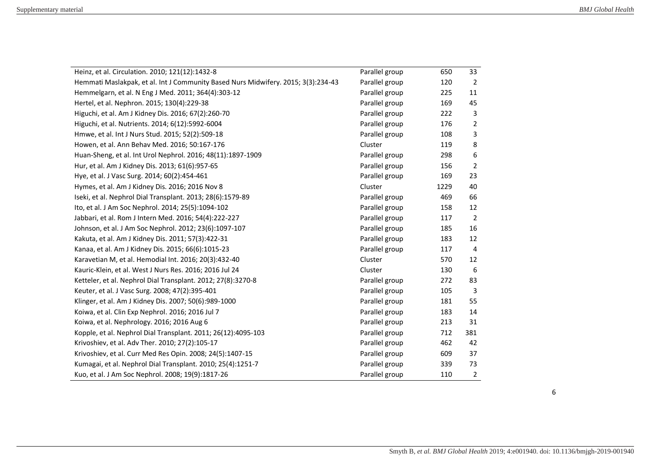| Heinz, et al. Circulation. 2010; 121(12):1432-8                                   | Parallel group | 650  | 33  |
|-----------------------------------------------------------------------------------|----------------|------|-----|
| Hemmati Maslakpak, et al. Int J Community Based Nurs Midwifery. 2015; 3(3):234-43 | Parallel group | 120  | 2   |
| Hemmelgarn, et al. N Eng J Med. 2011; 364(4):303-12                               | Parallel group | 225  | 11  |
| Hertel, et al. Nephron. 2015; 130(4):229-38                                       | Parallel group | 169  | 45  |
| Higuchi, et al. Am J Kidney Dis. 2016; 67(2):260-70                               | Parallel group | 222  | 3   |
| Higuchi, et al. Nutrients. 2014; 6(12):5992-6004                                  | Parallel group | 176  | 2   |
| Hmwe, et al. Int J Nurs Stud. 2015; 52(2):509-18                                  | Parallel group | 108  | 3   |
| Howen, et al. Ann Behav Med. 2016; 50:167-176                                     | Cluster        | 119  | 8   |
| Huan-Sheng, et al. Int Urol Nephrol. 2016; 48(11):1897-1909                       | Parallel group | 298  | 6   |
| Hur, et al. Am J Kidney Dis. 2013; 61(6):957-65                                   | Parallel group | 156  | 2   |
| Hye, et al. J Vasc Surg. 2014; 60(2):454-461                                      | Parallel group | 169  | 23  |
| Hymes, et al. Am J Kidney Dis. 2016; 2016 Nov 8                                   | Cluster        | 1229 | 40  |
| Iseki, et al. Nephrol Dial Transplant. 2013; 28(6):1579-89                        | Parallel group | 469  | 66  |
| Ito, et al. J Am Soc Nephrol. 2014; 25(5):1094-102                                | Parallel group | 158  | 12  |
| Jabbari, et al. Rom J Intern Med. 2016; 54(4):222-227                             | Parallel group | 117  | 2   |
| Johnson, et al. J Am Soc Nephrol. 2012; 23(6):1097-107                            | Parallel group | 185  | 16  |
| Kakuta, et al. Am J Kidney Dis. 2011; 57(3):422-31                                | Parallel group | 183  | 12  |
| Kanaa, et al. Am J Kidney Dis. 2015; 66(6):1015-23                                | Parallel group | 117  | 4   |
| Karavetian M, et al. Hemodial Int. 2016; 20(3):432-40                             | Cluster        | 570  | 12  |
| Kauric-Klein, et al. West J Nurs Res. 2016; 2016 Jul 24                           | Cluster        | 130  | 6   |
| Ketteler, et al. Nephrol Dial Transplant. 2012; 27(8):3270-8                      | Parallel group | 272  | 83  |
| Keuter, et al. J Vasc Surg. 2008; 47(2):395-401                                   | Parallel group | 105  | 3   |
| Klinger, et al. Am J Kidney Dis. 2007; 50(6):989-1000                             | Parallel group | 181  | 55  |
| Koiwa, et al. Clin Exp Nephrol. 2016; 2016 Jul 7                                  | Parallel group | 183  | 14  |
| Koiwa, et al. Nephrology. 2016; 2016 Aug 6                                        | Parallel group | 213  | 31  |
| Kopple, et al. Nephrol Dial Transplant. 2011; 26(12):4095-103                     | Parallel group | 712  | 381 |
| Krivoshiev, et al. Adv Ther. 2010; 27(2):105-17                                   | Parallel group | 462  | 42  |
| Krivoshiev, et al. Curr Med Res Opin. 2008; 24(5):1407-15                         | Parallel group | 609  | 37  |
| Kumagai, et al. Nephrol Dial Transplant. 2010; 25(4):1251-7                       | Parallel group | 339  | 73  |
| Kuo, et al. J Am Soc Nephrol. 2008; 19(9):1817-26                                 | Parallel group | 110  | 2   |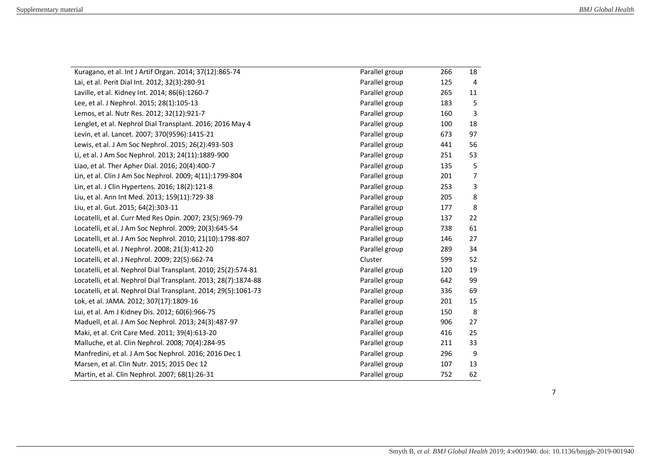| Kuragano, et al. Int J Artif Organ. 2014; 37(12):865-74        | Parallel group | 266 | 18             |
|----------------------------------------------------------------|----------------|-----|----------------|
| Lai, et al. Perit Dial Int. 2012; 32(3):280-91                 | Parallel group | 125 | 4              |
| Laville, et al. Kidney Int. 2014; 86(6):1260-7                 | Parallel group | 265 | 11             |
| Lee, et al. J Nephrol. 2015; 28(1):105-13                      | Parallel group | 183 | 5              |
| Lemos, et al. Nutr Res. 2012; 32(12):921-7                     | Parallel group | 160 | 3              |
| Lenglet, et al. Nephrol Dial Transplant. 2016; 2016 May 4      | Parallel group | 100 | 18             |
| Levin, et al. Lancet. 2007; 370(9596):1415-21                  | Parallel group | 673 | 97             |
| Lewis, et al. J Am Soc Nephrol. 2015; 26(2):493-503            | Parallel group | 441 | 56             |
| Li, et al. J Am Soc Nephrol. 2013; 24(11):1889-900             | Parallel group | 251 | 53             |
| Liao, et al. Ther Apher Dial. 2016; 20(4):400-7                | Parallel group | 135 | 5              |
| Lin, et al. Clin J Am Soc Nephrol. 2009; 4(11):1799-804        | Parallel group | 201 | $\overline{7}$ |
| Lin, et al. J Clin Hypertens. 2016; 18(2):121-8                | Parallel group | 253 | 3              |
| Liu, et al. Ann Int Med. 2013; 159(11):729-38                  | Parallel group | 205 | 8              |
| Liu, et al. Gut. 2015; 64(2):303-11                            | Parallel group | 177 | 8              |
| Locatelli, et al. Curr Med Res Opin. 2007; 23(5):969-79        | Parallel group | 137 | 22             |
| Locatelli, et al. J Am Soc Nephrol. 2009; 20(3):645-54         | Parallel group | 738 | 61             |
| Locatelli, et al. J Am Soc Nephrol. 2010; 21(10):1798-807      | Parallel group | 146 | 27             |
| Locatelli, et al. J Nephrol. 2008; 21(3):412-20                | Parallel group | 289 | 34             |
| Locatelli, et al. J Nephrol. 2009; 22(5):662-74                | Cluster        | 599 | 52             |
| Locatelli, et al. Nephrol Dial Transplant. 2010; 25(2):574-81  | Parallel group | 120 | 19             |
| Locatelli, et al. Nephrol Dial Transplant. 2013; 28(7):1874-88 | Parallel group | 642 | 99             |
| Locatelli, et al. Nephrol Dial Transplant. 2014; 29(5):1061-73 | Parallel group | 336 | 69             |
| Lok, et al. JAMA. 2012; 307(17):1809-16                        | Parallel group | 201 | 15             |
| Lui, et al. Am J Kidney Dis. 2012; 60(6):966-75                | Parallel group | 150 | 8              |
| Maduell, et al. J Am Soc Nephrol. 2013; 24(3):487-97           | Parallel group | 906 | 27             |
| Maki, et al. Crit Care Med. 2011; 39(4):613-20                 | Parallel group | 416 | 25             |
| Malluche, et al. Clin Nephrol. 2008; 70(4):284-95              | Parallel group | 211 | 33             |
| Manfredini, et al. J Am Soc Nephrol. 2016; 2016 Dec 1          | Parallel group | 296 | 9              |
| Marsen, et al. Clin Nutr. 2015; 2015 Dec 12                    | Parallel group | 107 | 13             |
| Martin, et al. Clin Nephrol. 2007; 68(1):26-31                 | Parallel group | 752 | 62             |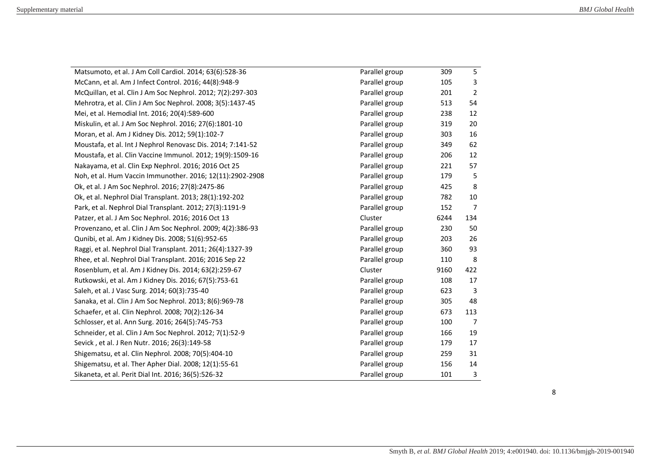| Matsumoto, et al. J Am Coll Cardiol. 2014; 63(6):528-36     | Parallel group | 309  | 5              |
|-------------------------------------------------------------|----------------|------|----------------|
| McCann, et al. Am J Infect Control. 2016; 44(8):948-9       | Parallel group | 105  | 3              |
| McQuillan, et al. Clin J Am Soc Nephrol. 2012; 7(2):297-303 | Parallel group | 201  | $\overline{2}$ |
| Mehrotra, et al. Clin J Am Soc Nephrol. 2008; 3(5):1437-45  | Parallel group | 513  | 54             |
| Mei, et al. Hemodial Int. 2016; 20(4):589-600               | Parallel group | 238  | 12             |
| Miskulin, et al. J Am Soc Nephrol. 2016; 27(6):1801-10      | Parallel group | 319  | 20             |
| Moran, et al. Am J Kidney Dis. 2012; 59(1):102-7            | Parallel group | 303  | 16             |
| Moustafa, et al. Int J Nephrol Renovasc Dis. 2014; 7:141-52 | Parallel group | 349  | 62             |
| Moustafa, et al. Clin Vaccine Immunol. 2012; 19(9):1509-16  | Parallel group | 206  | 12             |
| Nakayama, et al. Clin Exp Nephrol. 2016; 2016 Oct 25        | Parallel group | 221  | 57             |
| Noh, et al. Hum Vaccin Immunother. 2016; 12(11):2902-2908   | Parallel group | 179  | 5              |
| Ok, et al. J Am Soc Nephrol. 2016; 27(8):2475-86            | Parallel group | 425  | 8              |
| Ok, et al. Nephrol Dial Transplant. 2013; 28(1):192-202     | Parallel group | 782  | 10             |
| Park, et al. Nephrol Dial Transplant. 2012; 27(3):1191-9    | Parallel group | 152  | $\overline{7}$ |
| Patzer, et al. J Am Soc Nephrol. 2016; 2016 Oct 13          | Cluster        | 6244 | 134            |
| Provenzano, et al. Clin J Am Soc Nephrol. 2009; 4(2):386-93 | Parallel group | 230  | 50             |
| Qunibi, et al. Am J Kidney Dis. 2008; 51(6):952-65          | Parallel group | 203  | 26             |
| Raggi, et al. Nephrol Dial Transplant. 2011; 26(4):1327-39  | Parallel group | 360  | 93             |
| Rhee, et al. Nephrol Dial Transplant. 2016; 2016 Sep 22     | Parallel group | 110  | 8              |
| Rosenblum, et al. Am J Kidney Dis. 2014; 63(2):259-67       | Cluster        | 9160 | 422            |
| Rutkowski, et al. Am J Kidney Dis. 2016; 67(5):753-61       | Parallel group | 108  | 17             |
| Saleh, et al. J Vasc Surg. 2014; 60(3):735-40               | Parallel group | 623  | 3              |
| Sanaka, et al. Clin J Am Soc Nephrol. 2013; 8(6):969-78     | Parallel group | 305  | 48             |
| Schaefer, et al. Clin Nephrol. 2008; 70(2):126-34           | Parallel group | 673  | 113            |
| Schlosser, et al. Ann Surg. 2016; 264(5):745-753            | Parallel group | 100  | 7              |
| Schneider, et al. Clin J Am Soc Nephrol. 2012; 7(1):52-9    | Parallel group | 166  | 19             |
| Sevick, et al. J Ren Nutr. 2016; 26(3):149-58               | Parallel group | 179  | 17             |
| Shigematsu, et al. Clin Nephrol. 2008; 70(5):404-10         | Parallel group | 259  | 31             |
| Shigematsu, et al. Ther Apher Dial. 2008; 12(1):55-61       | Parallel group | 156  | 14             |
| Sikaneta, et al. Perit Dial Int. 2016; 36(5):526-32         | Parallel group | 101  | 3              |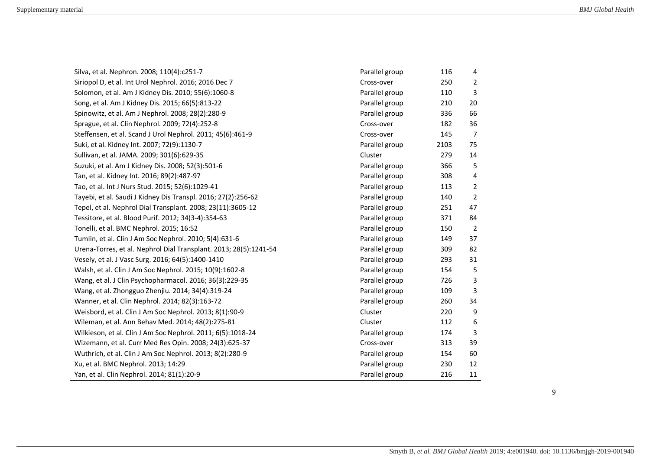| Silva, et al. Nephron. 2008; 110(4):c251-7                        | Parallel group | 116  | 4              |
|-------------------------------------------------------------------|----------------|------|----------------|
| Siriopol D, et al. Int Urol Nephrol. 2016; 2016 Dec 7             | Cross-over     | 250  | $\overline{2}$ |
| Solomon, et al. Am J Kidney Dis. 2010; 55(6):1060-8               | Parallel group | 110  | 3              |
| Song, et al. Am J Kidney Dis. 2015; 66(5):813-22                  | Parallel group | 210  | 20             |
| Spinowitz, et al. Am J Nephrol. 2008; 28(2):280-9                 | Parallel group | 336  | 66             |
| Sprague, et al. Clin Nephrol. 2009; 72(4):252-8                   | Cross-over     | 182  | 36             |
| Steffensen, et al. Scand J Urol Nephrol. 2011; 45(6):461-9        | Cross-over     | 145  | 7              |
| Suki, et al. Kidney Int. 2007; 72(9):1130-7                       | Parallel group | 2103 | 75             |
| Sullivan, et al. JAMA. 2009; 301(6):629-35                        | Cluster        | 279  | 14             |
| Suzuki, et al. Am J Kidney Dis. 2008; 52(3):501-6                 | Parallel group | 366  | 5              |
| Tan, et al. Kidney Int. 2016; 89(2):487-97                        | Parallel group | 308  | 4              |
| Tao, et al. Int J Nurs Stud. 2015; 52(6):1029-41                  | Parallel group | 113  | $\overline{2}$ |
| Tayebi, et al. Saudi J Kidney Dis Transpl. 2016; 27(2):256-62     | Parallel group | 140  | 2              |
| Tepel, et al. Nephrol Dial Transplant. 2008; 23(11):3605-12       | Parallel group | 251  | 47             |
| Tessitore, et al. Blood Purif. 2012; 34(3-4):354-63               | Parallel group | 371  | 84             |
| Tonelli, et al. BMC Nephrol. 2015; 16:52                          | Parallel group | 150  | $\overline{2}$ |
| Tumlin, et al. Clin J Am Soc Nephrol. 2010; 5(4):631-6            | Parallel group | 149  | 37             |
| Urena-Torres, et al. Nephrol Dial Transplant. 2013; 28(5):1241-54 | Parallel group | 309  | 82             |
| Vesely, et al. J Vasc Surg. 2016; 64(5):1400-1410                 | Parallel group | 293  | 31             |
| Walsh, et al. Clin J Am Soc Nephrol. 2015; 10(9):1602-8           | Parallel group | 154  | 5              |
| Wang, et al. J Clin Psychopharmacol. 2016; 36(3):229-35           | Parallel group | 726  | 3              |
| Wang, et al. Zhongguo Zhenjiu. 2014; 34(4):319-24                 | Parallel group | 109  | 3              |
| Wanner, et al. Clin Nephrol. 2014; 82(3):163-72                   | Parallel group | 260  | 34             |
| Weisbord, et al. Clin J Am Soc Nephrol. 2013; 8(1):90-9           | Cluster        | 220  | 9              |
| Wileman, et al. Ann Behav Med. 2014; 48(2):275-81                 | Cluster        | 112  | 6              |
| Wilkieson, et al. Clin J Am Soc Nephrol. 2011; 6(5):1018-24       | Parallel group | 174  | 3              |
| Wizemann, et al. Curr Med Res Opin. 2008; 24(3):625-37            | Cross-over     | 313  | 39             |
| Wuthrich, et al. Clin J Am Soc Nephrol. 2013; 8(2):280-9          | Parallel group | 154  | 60             |
| Xu, et al. BMC Nephrol. 2013; 14:29                               | Parallel group | 230  | 12             |
| Yan, et al. Clin Nephrol. 2014; 81(1):20-9                        | Parallel group | 216  | 11             |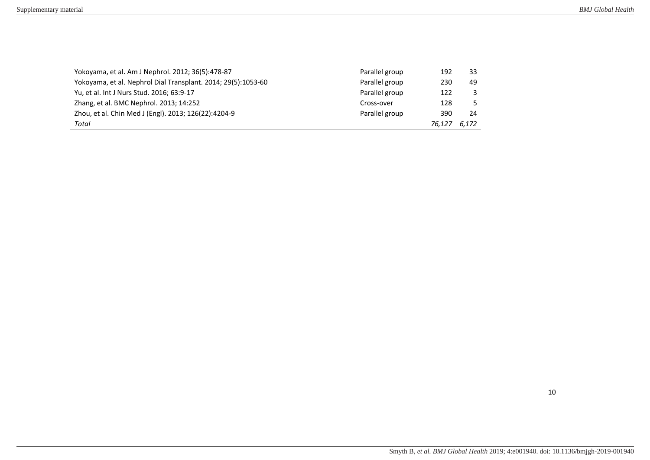| Yokoyama, et al. Am J Nephrol. 2012; 36(5):478-87             | Parallel group | 192    | 33           |
|---------------------------------------------------------------|----------------|--------|--------------|
| Yokoyama, et al. Nephrol Dial Transplant. 2014; 29(5):1053-60 | Parallel group | 230    | 49           |
| Yu, et al. Int J Nurs Stud. 2016; 63:9-17                     | Parallel group | 122    | $\mathbf{3}$ |
| Zhang, et al. BMC Nephrol. 2013; 14:252                       | Cross-over     | 128    | .5.          |
| Zhou, et al. Chin Med J (Engl). 2013; 126(22):4204-9          | Parallel group | 390    | 24           |
| Total                                                         |                | 76.127 | 6,172        |
|                                                               |                |        |              |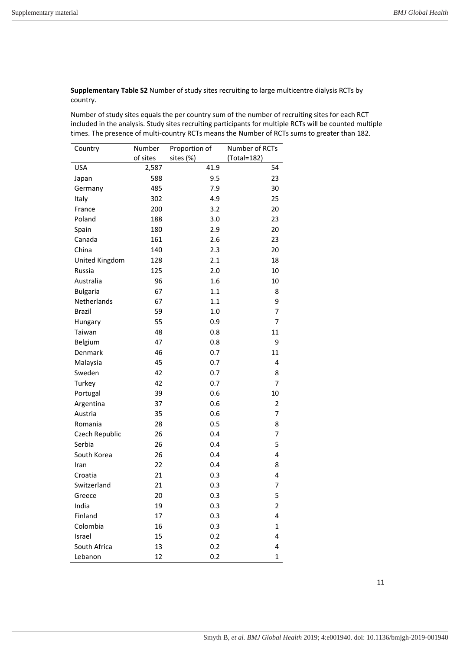**Supplementary Table S2** Number of study sites recruiting to large multicentre dialysis RCTs by country.

Number of study sites equals the per country sum of the number of recruiting sites for each RCT included in the analysis. Study sites recruiting participants for multiple RCTs will be counted multiple times. The presence of multi-country RCTs means the Number of RCTs sums to greater than 182.

| Country         | Number   | Proportion of | Number of RCTs |
|-----------------|----------|---------------|----------------|
|                 | of sites | sites (%)     | (Total=182)    |
| USA             | 2,587    | 41.9          | 54             |
| Japan           | 588      | 9.5           | 23             |
| Germany         | 485      | 7.9           | 30             |
| Italy           | 302      | 4.9           | 25             |
| France          | 200      | 3.2           | 20             |
| Poland          | 188      | 3.0           | 23             |
| Spain           | 180      | 2.9           | 20             |
| Canada          | 161      | 2.6           | 23             |
| China           | 140      | 2.3           | 20             |
| United Kingdom  | 128      | 2.1           | 18             |
| Russia          | 125      | 2.0           | 10             |
| Australia       | 96       | 1.6           | 10             |
| <b>Bulgaria</b> | 67       | 1.1           | 8              |
| Netherlands     | 67       | 1.1           | 9              |
| <b>Brazil</b>   | 59       | 1.0           | 7              |
| Hungary         | 55       | 0.9           | 7              |
| Taiwan          | 48       | 0.8           | 11             |
| Belgium         | 47       | 0.8           | 9              |
| Denmark         | 46       | 0.7           | 11             |
| Malaysia        | 45       | 0.7           | 4              |
| Sweden          | 42       | 0.7           | 8              |
| Turkey          | 42       | 0.7           | 7              |
| Portugal        | 39       | 0.6           | 10             |
| Argentina       | 37       | 0.6           | 2              |
| Austria         | 35       | 0.6           | 7              |
| Romania         | 28       | 0.5           | 8              |
| Czech Republic  | 26       | 0.4           | 7              |
| Serbia          | 26       | 0.4           | 5              |
| South Korea     | 26       | 0.4           | 4              |
| Iran            | 22       | 0.4           | 8              |
| Croatia         | 21       | 0.3           | 4              |
| Switzerland     | 21       | 0.3           | 7              |
| Greece          | 20       | 0.3           | 5              |
| India           | 19       | 0.3           | 2              |
| Finland         | 17       | 0.3           | 4              |
| Colombia        | 16       | 0.3           | 1              |
| Israel          | 15       | 0.2           | 4              |
| South Africa    | 13       | 0.2           | 4              |
| Lebanon         | 12       | 0.2           | 1              |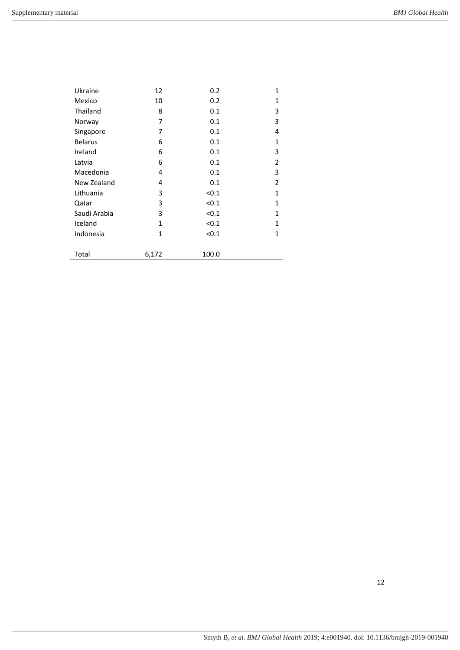| Ukraine        | 12           | 0.2   | 1              |
|----------------|--------------|-------|----------------|
| Mexico         | 10           | 0.2   | 1              |
| Thailand       | 8            | 0.1   | 3              |
| Norway         | 7            | 0.1   | 3              |
| Singapore      | 7            | 0.1   | 4              |
| <b>Belarus</b> | 6            | 0.1   | $\mathbf{1}$   |
| Ireland        | 6            | 0.1   | 3              |
| Latvia         | 6            | 0.1   | $\overline{2}$ |
| Macedonia      | 4            | 0.1   | 3              |
| New Zealand    | 4            | 0.1   | 2              |
| Lithuania      | 3            | < 0.1 | 1              |
| Qatar          | 3            | < 0.1 | 1              |
| Saudi Arabia   | 3            | < 0.1 | $\mathbf{1}$   |
| Iceland        | 1            | < 0.1 | $\mathbf{1}$   |
| Indonesia      | $\mathbf{1}$ | < 0.1 | $\mathbf{1}$   |
|                |              |       |                |
| Total          | 6,172        | 100.0 |                |